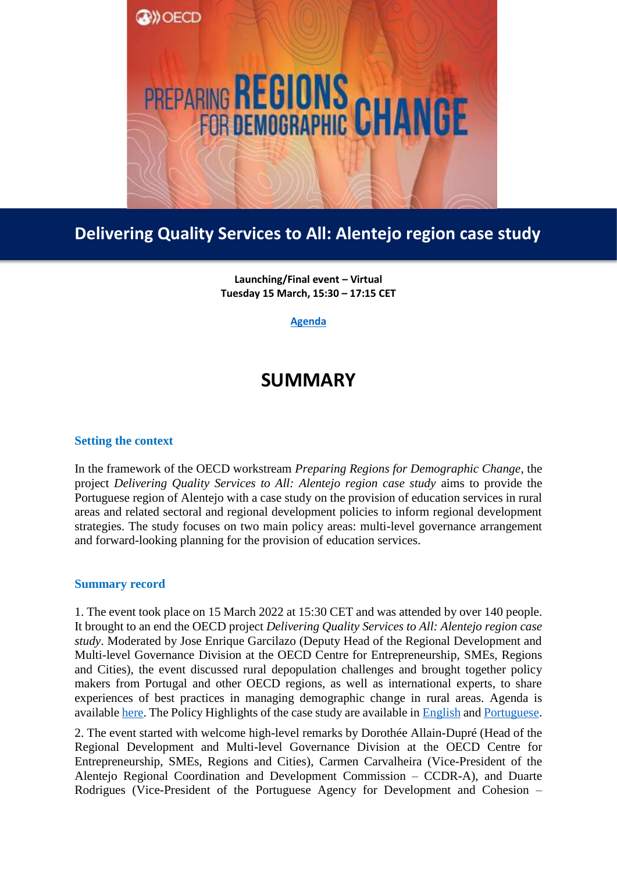

## **Delivering Quality Services to All: Alentejo region case study**

**Launching/Final event – Virtual Tuesday 15 March, 15:30 – 17:15 CET**

**[Agenda](https://www.oecd.org/regional/rural-development/Alentejo_Final_%20Event_Agenda.pdf)**

## **SUMMARY**

## **Setting the context**

In the framework of the OECD workstream *Preparing Regions for Demographic Change*, the project *Delivering Quality Services to All: Alentejo region case study* aims to provide the Portuguese region of Alentejo with a case study on the provision of education services in rural areas and related sectoral and regional development policies to inform regional development strategies. The study focuses on two main policy areas: multi-level governance arrangement and forward-looking planning for the provision of education services.

## **Summary record**

1. The event took place on 15 March 2022 at 15:30 CET and was attended by over 140 people. It brought to an end the OECD project *Delivering Quality Services to All: Alentejo region case study*. Moderated by Jose Enrique Garcilazo (Deputy Head of the Regional Development and Multi-level Governance Division at the OECD Centre for Entrepreneurship, SMEs, Regions and Cities), the event discussed rural depopulation challenges and brought together policy makers from Portugal and other OECD regions, as well as international experts, to share experiences of best practices in managing demographic change in rural areas. Agenda is available [here.](https://www.oecd.org/regional/rural-development/Alentejo_Final_%20Event_Agenda.pdf) The Policy Highlights of the case study are available in [English](https://www.oecd.org/regional/rural-development/English_Policy_highlights-Alentejo.pdf) and [Portuguese.](https://www.oecd.org/regional/PortugesePolicyHighlightsAlentejo.pdf)

2. The event started with welcome high-level remarks by Dorothée Allain-Dupré (Head of the Regional Development and Multi-level Governance Division at the OECD Centre for Entrepreneurship, SMEs, Regions and Cities), Carmen Carvalheira (Vice-President of the Alentejo Regional Coordination and Development Commission – CCDR-A), and Duarte Rodrigues (Vice-President of the Portuguese Agency for Development and Cohesion –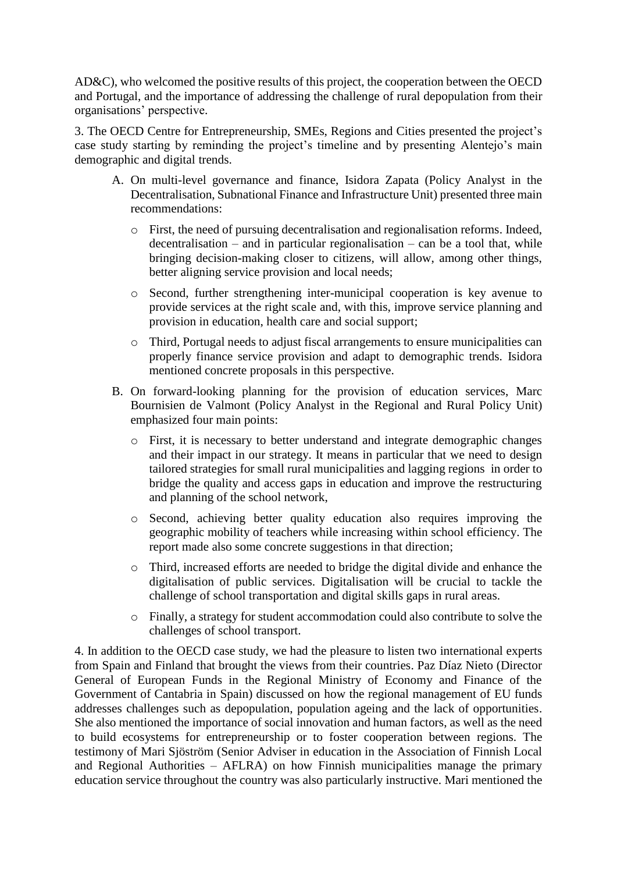AD&C), who welcomed the positive results of this project, the cooperation between the OECD and Portugal, and the importance of addressing the challenge of rural depopulation from their organisations' perspective.

3. The OECD Centre for Entrepreneurship, SMEs, Regions and Cities presented the project's case study starting by reminding the project's timeline and by presenting Alentejo's main demographic and digital trends.

- A. On multi-level governance and finance, Isidora Zapata (Policy Analyst in the Decentralisation, Subnational Finance and Infrastructure Unit) presented three main recommendations:
	- o First, the need of pursuing decentralisation and regionalisation reforms. Indeed,  $decentralisation - and in particular regionalisation - can be a tool that, while$ bringing decision-making closer to citizens, will allow, among other things, better aligning service provision and local needs;
	- o Second, further strengthening inter-municipal cooperation is key avenue to provide services at the right scale and, with this, improve service planning and provision in education, health care and social support;
	- o Third, Portugal needs to adjust fiscal arrangements to ensure municipalities can properly finance service provision and adapt to demographic trends. Isidora mentioned concrete proposals in this perspective.
- B. On forward-looking planning for the provision of education services, Marc Bournisien de Valmont (Policy Analyst in the Regional and Rural Policy Unit) emphasized four main points:
	- o First, it is necessary to better understand and integrate demographic changes and their impact in our strategy. It means in particular that we need to design tailored strategies for small rural municipalities and lagging regions in order to bridge the quality and access gaps in education and improve the restructuring and planning of the school network,
	- o Second, achieving better quality education also requires improving the geographic mobility of teachers while increasing within school efficiency. The report made also some concrete suggestions in that direction;
	- o Third, increased efforts are needed to bridge the digital divide and enhance the digitalisation of public services. Digitalisation will be crucial to tackle the challenge of school transportation and digital skills gaps in rural areas.
	- o Finally, a strategy for student accommodation could also contribute to solve the challenges of school transport.

4. In addition to the OECD case study, we had the pleasure to listen two international experts from Spain and Finland that brought the views from their countries. Paz Díaz Nieto (Director General of European Funds in the Regional Ministry of Economy and Finance of the Government of Cantabria in Spain) discussed on how the regional management of EU funds addresses challenges such as depopulation, population ageing and the lack of opportunities. She also mentioned the importance of social innovation and human factors, as well as the need to build ecosystems for entrepreneurship or to foster cooperation between regions. The testimony of Mari Sjöström (Senior Adviser in education in the Association of Finnish Local and Regional Authorities – AFLRA) on how Finnish municipalities manage the primary education service throughout the country was also particularly instructive. Mari mentioned the